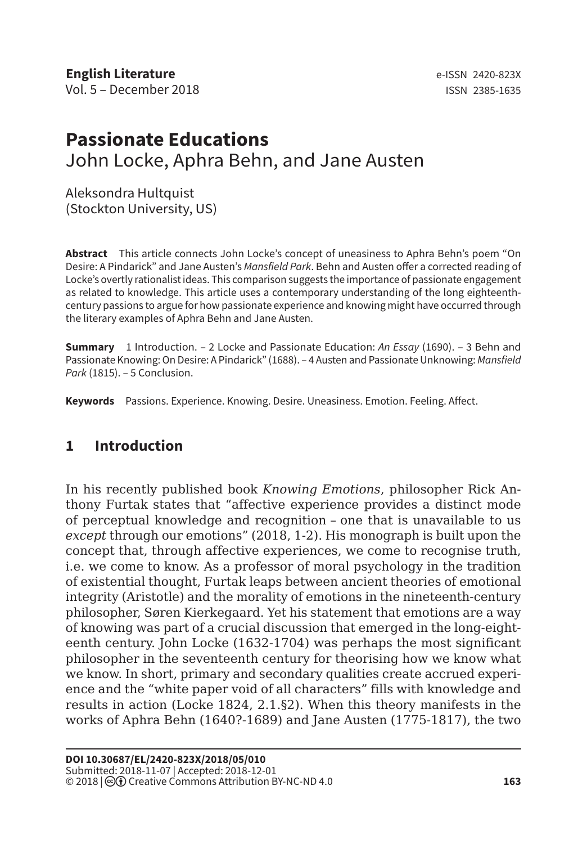# **Passionate Educations** John Locke, Aphra Behn, and Jane Austen

Aleksondra Hultquist (Stockton University, US)

**Abstract** This article connects John Locke's concept of uneasiness to Aphra Behn's poem "On Desire: A Pindarick" and Jane Austen's *Mansfield Park*. Behn and Austen offer a corrected reading of Locke's overtly rationalist ideas. This comparison suggests the importance of passionate engagement as related to knowledge. This article uses a contemporary understanding of the long eighteenthcentury passions to argue for how passionate experience and knowing might have occurred through the literary examples of Aphra Behn and Jane Austen.

**Summary** 1 Introduction. – 2 Locke and Passionate Education: *An Essay* (1690). – 3 Behn and Passionate Knowing: On Desire: A Pindarick" (1688). – 4 Austen and Passionate Unknowing: *Mansfield Park* (1815). – 5 Conclusion.

**Keywords** Passions. Experience. Knowing. Desire. Uneasiness. Emotion. Feeling. Affect.

## **1 Introduction**

In his recently published book *Knowing Emotions*, philosopher Rick Anthony Furtak states that "affective experience provides a distinct mode of perceptual knowledge and recognition – one that is unavailable to us *except* through our emotions" (2018, 1-2). His monograph is built upon the concept that, through affective experiences, we come to recognise truth, i.e. we come to know. As a professor of moral psychology in the tradition of existential thought, Furtak leaps between ancient theories of emotional integrity (Aristotle) and the morality of emotions in the nineteenth-century philosopher, Søren Kierkegaard. Yet his statement that emotions are a way of knowing was part of a crucial discussion that emerged in the long-eighteenth century. John Locke (1632-1704) was perhaps the most significant philosopher in the seventeenth century for theorising how we know what we know. In short, primary and secondary qualities create accrued experience and the "white paper void of all characters" fills with knowledge and results in action (Locke 1824, 2.1.§2). When this theory manifests in the works of Aphra Behn (1640?-1689) and Jane Austen (1775-1817), the two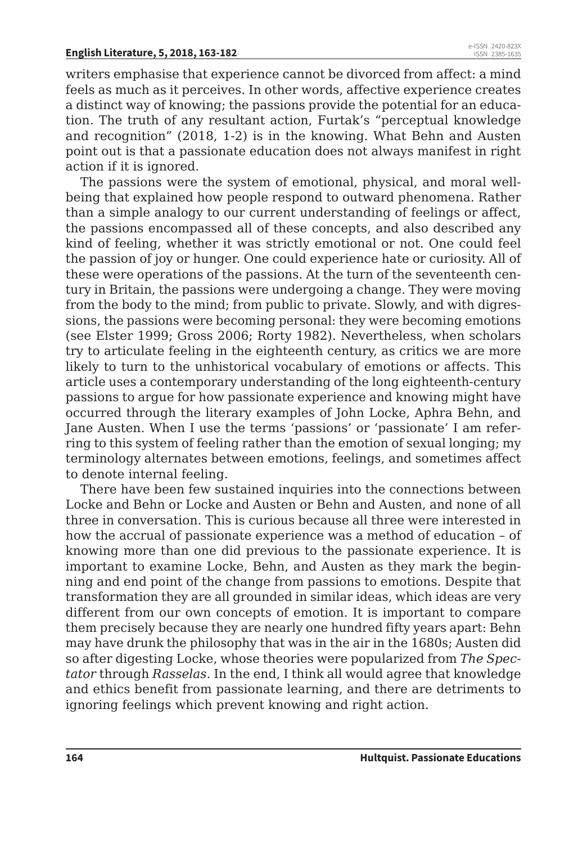writers emphasise that experience cannot be divorced from affect: a mind feels as much as it perceives. In other words, affective experience creates a distinct way of knowing; the passions provide the potential for an education. The truth of any resultant action, Furtak's "perceptual knowledge and recognition" (2018, 1-2) is in the knowing. What Behn and Austen point out is that a passionate education does not always manifest in right action if it is ignored.

The passions were the system of emotional, physical, and moral wellbeing that explained how people respond to outward phenomena. Rather than a simple analogy to our current understanding of feelings or affect, the passions encompassed all of these concepts, and also described any kind of feeling, whether it was strictly emotional or not. One could feel the passion of joy or hunger. One could experience hate or curiosity. All of these were operations of the passions. At the turn of the seventeenth century in Britain, the passions were undergoing a change. They were moving from the body to the mind; from public to private. Slowly, and with digressions, the passions were becoming personal: they were becoming emotions (see Elster 1999; Gross 2006; Rorty 1982). Nevertheless, when scholars try to articulate feeling in the eighteenth century, as critics we are more likely to turn to the unhistorical vocabulary of emotions or affects. This article uses a contemporary understanding of the long eighteenth-century passions to argue for how passionate experience and knowing might have occurred through the literary examples of John Locke, Aphra Behn, and Jane Austen. When I use the terms 'passions' or 'passionate' I am referring to this system of feeling rather than the emotion of sexual longing; my terminology alternates between emotions, feelings, and sometimes affect to denote internal feeling.

There have been few sustained inquiries into the connections between Locke and Behn or Locke and Austen or Behn and Austen, and none of all three in conversation. This is curious because all three were interested in how the accrual of passionate experience was a method of education – of knowing more than one did previous to the passionate experience. It is important to examine Locke, Behn, and Austen as they mark the beginning and end point of the change from passions to emotions. Despite that transformation they are all grounded in similar ideas, which ideas are very different from our own concepts of emotion. It is important to compare them precisely because they are nearly one hundred fifty years apart: Behn may have drunk the philosophy that was in the air in the 1680s; Austen did so after digesting Locke, whose theories were popularized from *The Spectator* through *Rasselas*. In the end, I think all would agree that knowledge and ethics benefit from passionate learning, and there are detriments to ignoring feelings which prevent knowing and right action.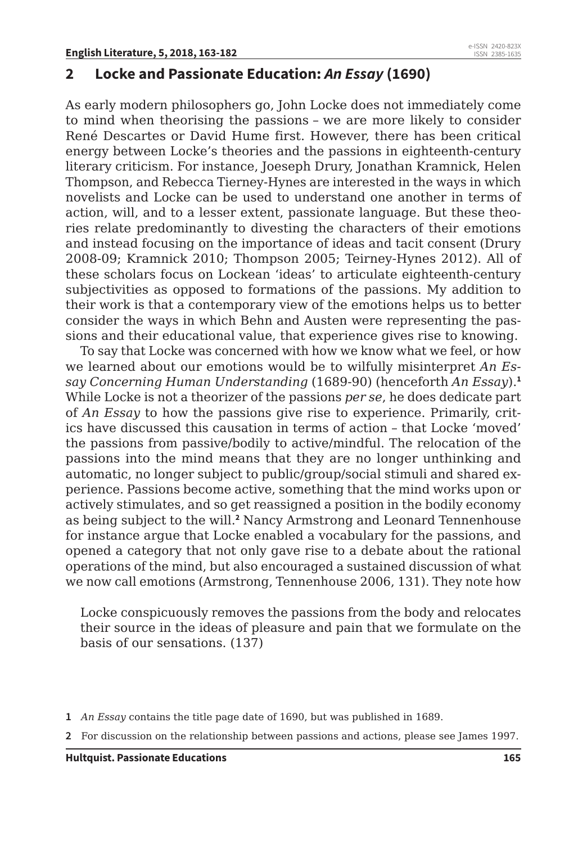#### **2 Locke and Passionate Education:** *An Essay* **(1690)**

As early modern philosophers go, John Locke does not immediately come to mind when theorising the passions – we are more likely to consider René Descartes or David Hume first. However, there has been critical energy between Locke's theories and the passions in eighteenth-century literary criticism. For instance, Joeseph Drury, Jonathan Kramnick, Helen Thompson, and Rebecca Tierney-Hynes are interested in the ways in which novelists and Locke can be used to understand one another in terms of action, will, and to a lesser extent, passionate language. But these theories relate predominantly to divesting the characters of their emotions and instead focusing on the importance of ideas and tacit consent (Drury 2008-09; Kramnick 2010; Thompson 2005; Teirney-Hynes 2012). All of these scholars focus on Lockean 'ideas' to articulate eighteenth-century subjectivities as opposed to formations of the passions. My addition to their work is that a contemporary view of the emotions helps us to better consider the ways in which Behn and Austen were representing the passions and their educational value, that experience gives rise to knowing.

To say that Locke was concerned with how we know what we feel, or how we learned about our emotions would be to wilfully misinterpret *An Essay Concerning Human Understanding* (1689-90) (henceforth *An Essay*).**<sup>1</sup>** While Locke is not a theorizer of the passions *per se*, he does dedicate part of *An Essay* to how the passions give rise to experience. Primarily, critics have discussed this causation in terms of action – that Locke 'moved' the passions from passive/bodily to active/mindful. The relocation of the passions into the mind means that they are no longer unthinking and automatic, no longer subject to public/group/social stimuli and shared experience. Passions become active, something that the mind works upon or actively stimulates, and so get reassigned a position in the bodily economy as being subject to the will.**<sup>2</sup>** Nancy Armstrong and Leonard Tennenhouse for instance argue that Locke enabled a vocabulary for the passions, and opened a category that not only gave rise to a debate about the rational operations of the mind, but also encouraged a sustained discussion of what we now call emotions (Armstrong, Tennenhouse 2006, 131). They note how

Locke conspicuously removes the passions from the body and relocates their source in the ideas of pleasure and pain that we formulate on the basis of our sensations. (137)

- **1** *An Essay* contains the title page date of 1690, but was published in 1689.
- **2** For discussion on the relationship between passions and actions, please see James 1997.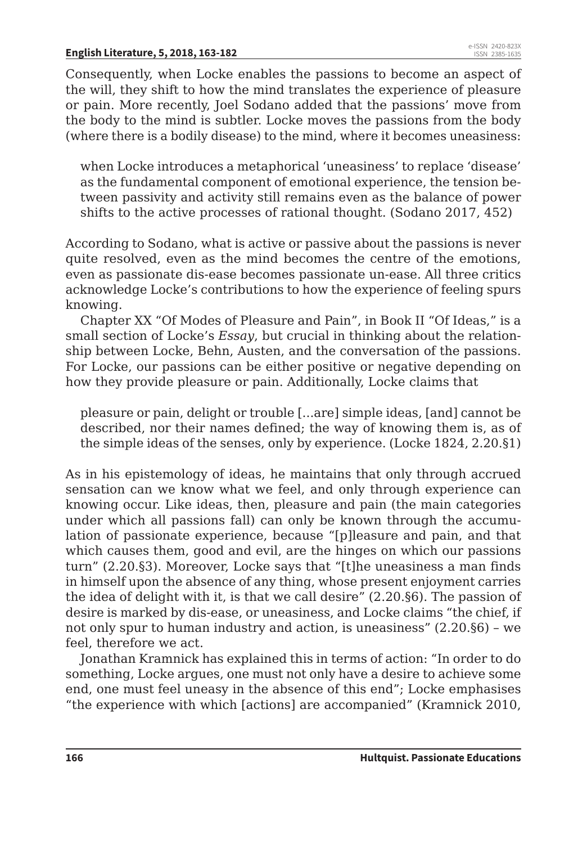Consequently, when Locke enables the passions to become an aspect of the will, they shift to how the mind translates the experience of pleasure or pain. More recently, Joel Sodano added that the passions' move from the body to the mind is subtler. Locke moves the passions from the body (where there is a bodily disease) to the mind, where it becomes uneasiness:

when Locke introduces a metaphorical 'uneasiness' to replace 'disease' as the fundamental component of emotional experience, the tension between passivity and activity still remains even as the balance of power shifts to the active processes of rational thought. (Sodano 2017, 452)

According to Sodano, what is active or passive about the passions is never quite resolved, even as the mind becomes the centre of the emotions, even as passionate dis-ease becomes passionate un-ease. All three critics acknowledge Locke's contributions to how the experience of feeling spurs knowing.

Chapter XX "Of Modes of Pleasure and Pain", in Book II "Of Ideas," is a small section of Locke's *Essay*, but crucial in thinking about the relationship between Locke, Behn, Austen, and the conversation of the passions. For Locke, our passions can be either positive or negative depending on how they provide pleasure or pain. Additionally, Locke claims that

pleasure or pain, delight or trouble [...are] simple ideas, [and] cannot be described, nor their names defined; the way of knowing them is, as of the simple ideas of the senses, only by experience. (Locke 1824, 2.20.§1)

As in his epistemology of ideas, he maintains that only through accrued sensation can we know what we feel, and only through experience can knowing occur. Like ideas, then, pleasure and pain (the main categories under which all passions fall) can only be known through the accumulation of passionate experience, because "[p]leasure and pain, and that which causes them, good and evil, are the hinges on which our passions turn" (2.20.§3). Moreover, Locke says that "[t]he uneasiness a man finds in himself upon the absence of any thing, whose present enjoyment carries the idea of delight with it, is that we call desire" (2.20.§6). The passion of desire is marked by dis-ease, or uneasiness, and Locke claims "the chief, if not only spur to human industry and action, is uneasiness" (2.20.§6) – we feel, therefore we act.

Jonathan Kramnick has explained this in terms of action: "In order to do something, Locke argues, one must not only have a desire to achieve some end, one must feel uneasy in the absence of this end"; Locke emphasises "the experience with which [actions] are accompanied" (Kramnick 2010,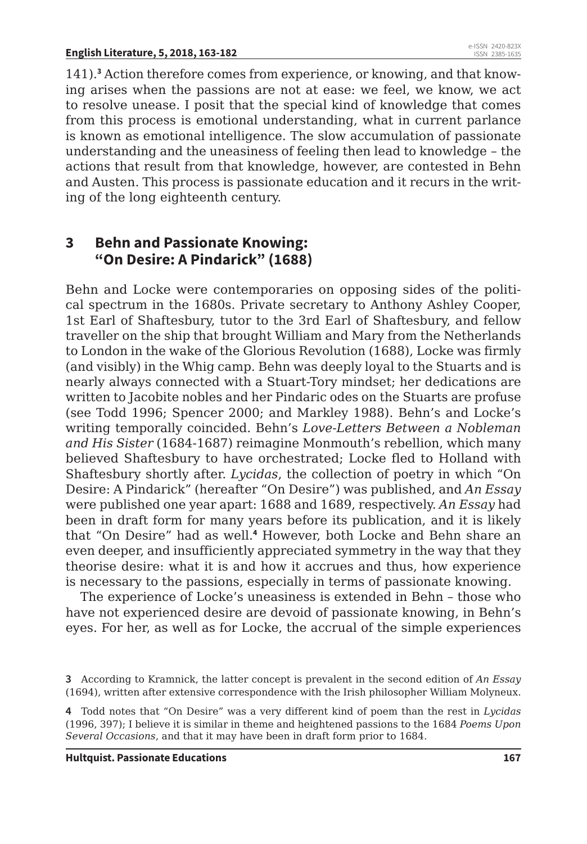141).**<sup>3</sup>** Action therefore comes from experience, or knowing, and that knowing arises when the passions are not at ease: we feel, we know, we act to resolve unease. I posit that the special kind of knowledge that comes from this process is emotional understanding, what in current parlance is known as emotional intelligence. The slow accumulation of passionate understanding and the uneasiness of feeling then lead to knowledge – the actions that result from that knowledge, however, are contested in Behn and Austen. This process is passionate education and it recurs in the writing of the long eighteenth century.

#### **3 Behn and Passionate Knowing: "On Desire: A Pindarick" (1688)**

Behn and Locke were contemporaries on opposing sides of the political spectrum in the 1680s. Private secretary to Anthony Ashley Cooper, 1st Earl of Shaftesbury, tutor to the 3rd Earl of Shaftesbury, and fellow traveller on the ship that brought William and Mary from the Netherlands to London in the wake of the Glorious Revolution (1688), Locke was firmly (and visibly) in the Whig camp. Behn was deeply loyal to the Stuarts and is nearly always connected with a Stuart-Tory mindset; her dedications are written to Jacobite nobles and her Pindaric odes on the Stuarts are profuse (see Todd 1996; Spencer 2000; and Markley 1988). Behn's and Locke's writing temporally coincided. Behn's *Love-Letters Between a Nobleman and His Sister* (1684-1687) reimagine Monmouth's rebellion, which many believed Shaftesbury to have orchestrated; Locke fled to Holland with Shaftesbury shortly after. *Lycidas*, the collection of poetry in which "On Desire: A Pindarick" (hereafter "On Desire") was published, and *An Essay* were published one year apart: 1688 and 1689, respectively. *An Essay* had been in draft form for many years before its publication, and it is likely that "On Desire" had as well.**<sup>4</sup>** However, both Locke and Behn share an even deeper, and insufficiently appreciated symmetry in the way that they theorise desire: what it is and how it accrues and thus, how experience is necessary to the passions, especially in terms of passionate knowing.

The experience of Locke's uneasiness is extended in Behn – those who have not experienced desire are devoid of passionate knowing, in Behn's eyes. For her, as well as for Locke, the accrual of the simple experiences

**<sup>3</sup>** According to Kramnick, the latter concept is prevalent in the second edition of *An Essay*  (1694), written after extensive correspondence with the Irish philosopher William Molyneux.

**<sup>4</sup>** Todd notes that "On Desire" was a very different kind of poem than the rest in *Lycidas*  (1996, 397); I believe it is similar in theme and heightened passions to the 1684 *Poems Upon Several Occasions*, and that it may have been in draft form prior to 1684.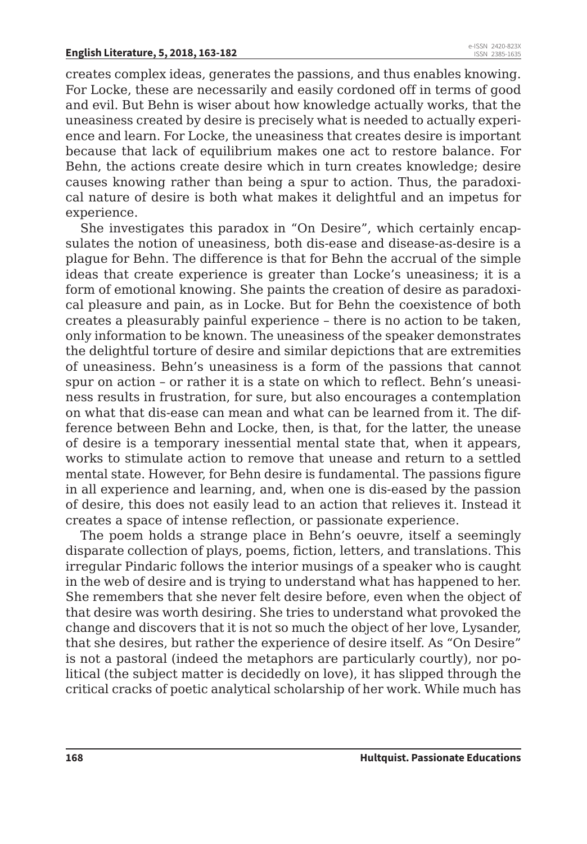creates complex ideas, generates the passions, and thus enables knowing. For Locke, these are necessarily and easily cordoned off in terms of good and evil. But Behn is wiser about how knowledge actually works, that the uneasiness created by desire is precisely what is needed to actually experience and learn. For Locke, the uneasiness that creates desire is important because that lack of equilibrium makes one act to restore balance. For Behn, the actions create desire which in turn creates knowledge; desire causes knowing rather than being a spur to action. Thus, the paradoxical nature of desire is both what makes it delightful and an impetus for experience.

She investigates this paradox in "On Desire", which certainly encapsulates the notion of uneasiness, both dis-ease and disease-as-desire is a plague for Behn. The difference is that for Behn the accrual of the simple ideas that create experience is greater than Locke's uneasiness; it is a form of emotional knowing. She paints the creation of desire as paradoxical pleasure and pain, as in Locke. But for Behn the coexistence of both creates a pleasurably painful experience – there is no action to be taken, only information to be known. The uneasiness of the speaker demonstrates the delightful torture of desire and similar depictions that are extremities of uneasiness. Behn's uneasiness is a form of the passions that cannot spur on action – or rather it is a state on which to reflect. Behn's uneasiness results in frustration, for sure, but also encourages a contemplation on what that dis-ease can mean and what can be learned from it. The difference between Behn and Locke, then, is that, for the latter, the unease of desire is a temporary inessential mental state that, when it appears, works to stimulate action to remove that unease and return to a settled mental state. However, for Behn desire is fundamental. The passions figure in all experience and learning, and, when one is dis-eased by the passion of desire, this does not easily lead to an action that relieves it. Instead it creates a space of intense reflection, or passionate experience.

The poem holds a strange place in Behn's oeuvre, itself a seemingly disparate collection of plays, poems, fiction, letters, and translations. This irregular Pindaric follows the interior musings of a speaker who is caught in the web of desire and is trying to understand what has happened to her. She remembers that she never felt desire before, even when the object of that desire was worth desiring. She tries to understand what provoked the change and discovers that it is not so much the object of her love, Lysander, that she desires, but rather the experience of desire itself. As "On Desire" is not a pastoral (indeed the metaphors are particularly courtly), nor political (the subject matter is decidedly on love), it has slipped through the critical cracks of poetic analytical scholarship of her work. While much has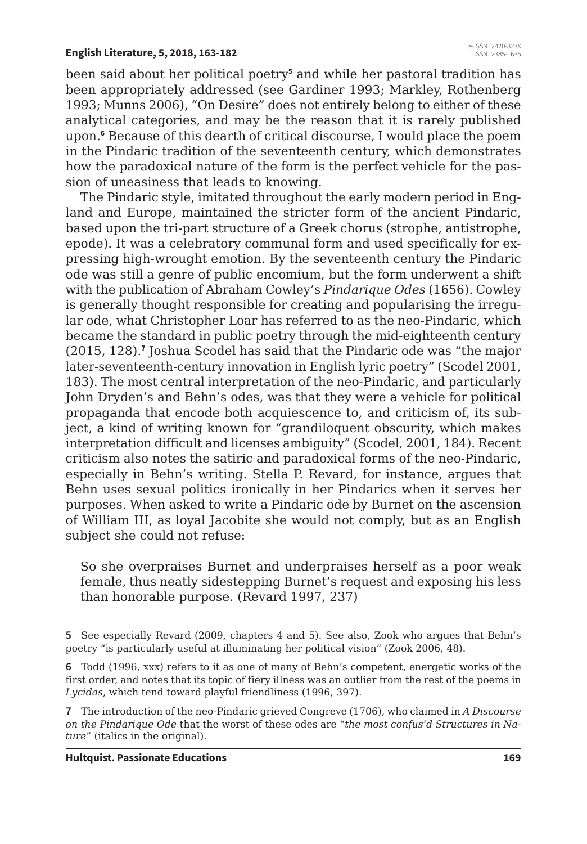been said about her political poetry**<sup>5</sup>** and while her pastoral tradition has been appropriately addressed (see Gardiner 1993; Markley, Rothenberg 1993; Munns 2006), "On Desire" does not entirely belong to either of these analytical categories, and may be the reason that it is rarely published upon.**<sup>6</sup>** Because of this dearth of critical discourse, I would place the poem in the Pindaric tradition of the seventeenth century, which demonstrates how the paradoxical nature of the form is the perfect vehicle for the passion of uneasiness that leads to knowing.

The Pindaric style, imitated throughout the early modern period in England and Europe, maintained the stricter form of the ancient Pindaric, based upon the tri-part structure of a Greek chorus (strophe, antistrophe, epode). It was a celebratory communal form and used specifically for expressing high-wrought emotion. By the seventeenth century the Pindaric ode was still a genre of public encomium, but the form underwent a shift with the publication of Abraham Cowley's *Pindarique Odes* (1656). Cowley is generally thought responsible for creating and popularising the irregular ode, what Christopher Loar has referred to as the neo-Pindaric, which became the standard in public poetry through the mid-eighteenth century (2015, 128).**<sup>7</sup>** Joshua Scodel has said that the Pindaric ode was "the major later-seventeenth-century innovation in English lyric poetry" (Scodel 2001, 183). The most central interpretation of the neo-Pindaric, and particularly John Dryden's and Behn's odes, was that they were a vehicle for political propaganda that encode both acquiescence to, and criticism of, its subject, a kind of writing known for "grandiloquent obscurity, which makes interpretation difficult and licenses ambiguity" (Scodel, 2001, 184). Recent criticism also notes the satiric and paradoxical forms of the neo-Pindaric, especially in Behn's writing. Stella P. Revard, for instance, argues that Behn uses sexual politics ironically in her Pindarics when it serves her purposes. When asked to write a Pindaric ode by Burnet on the ascension of William III, as loyal Jacobite she would not comply, but as an English subject she could not refuse:

So she overpraises Burnet and underpraises herself as a poor weak female, thus neatly sidestepping Burnet's request and exposing his less than honorable purpose. (Revard 1997, 237)

**5** See especially Revard (2009, chapters 4 and 5). See also, Zook who argues that Behn's poetry "is particularly useful at illuminating her political vision" (Zook 2006, 48).

**6** Todd (1996, xxx) refers to it as one of many of Behn's competent, energetic works of the first order, and notes that its topic of fiery illness was an outlier from the rest of the poems in *Lycidas*, which tend toward playful friendliness (1996, 397).

**7** The introduction of the neo-Pindaric grieved Congreve (1706), who claimed in *A Discourse on the Pindarique Ode* that the worst of these odes are "*the most confus'd Structures in Nature*" (italics in the original).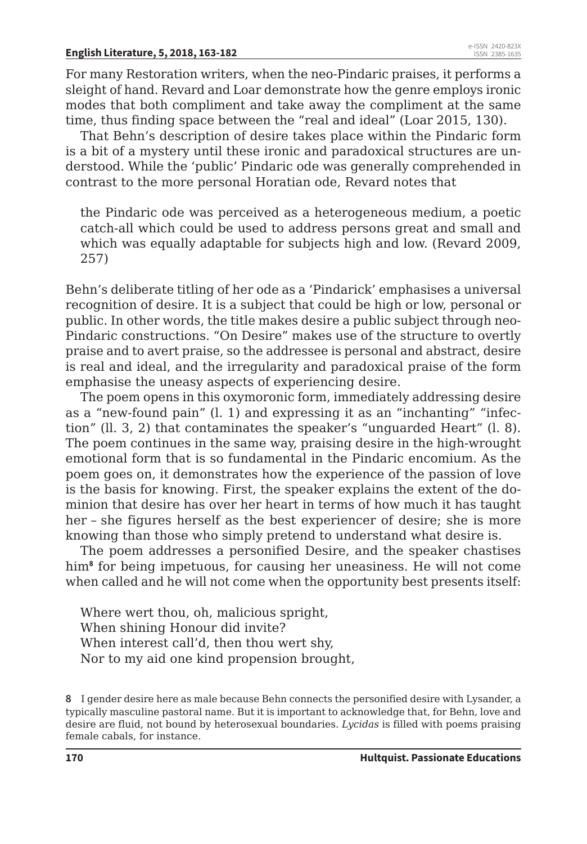For many Restoration writers, when the neo-Pindaric praises, it performs a sleight of hand. Revard and Loar demonstrate how the genre employs ironic modes that both compliment and take away the compliment at the same time, thus finding space between the "real and ideal" (Loar 2015, 130).

That Behn's description of desire takes place within the Pindaric form is a bit of a mystery until these ironic and paradoxical structures are understood. While the 'public' Pindaric ode was generally comprehended in contrast to the more personal Horatian ode, Revard notes that

the Pindaric ode was perceived as a heterogeneous medium, a poetic catch-all which could be used to address persons great and small and which was equally adaptable for subjects high and low. (Revard 2009, 257)

Behn's deliberate titling of her ode as a 'Pindarick' emphasises a universal recognition of desire. It is a subject that could be high or low, personal or public. In other words, the title makes desire a public subject through neo-Pindaric constructions. "On Desire" makes use of the structure to overtly praise and to avert praise, so the addressee is personal and abstract, desire is real and ideal, and the irregularity and paradoxical praise of the form emphasise the uneasy aspects of experiencing desire.

The poem opens in this oxymoronic form, immediately addressing desire as a "new-found pain" (l. 1) and expressing it as an "inchanting" "infection" (ll. 3, 2) that contaminates the speaker's "unguarded Heart" (l. 8). The poem continues in the same way, praising desire in the high-wrought emotional form that is so fundamental in the Pindaric encomium. As the poem goes on, it demonstrates how the experience of the passion of love is the basis for knowing. First, the speaker explains the extent of the dominion that desire has over her heart in terms of how much it has taught her – she figures herself as the best experiencer of desire; she is more knowing than those who simply pretend to understand what desire is.

The poem addresses a personified Desire, and the speaker chastises him**<sup>8</sup>** for being impetuous, for causing her uneasiness. He will not come when called and he will not come when the opportunity best presents itself:

Where wert thou, oh, malicious spright, When shining Honour did invite? When interest call'd, then thou wert shy, Nor to my aid one kind propension brought,

**8** I gender desire here as male because Behn connects the personified desire with Lysander, a typically masculine pastoral name. But it is important to acknowledge that, for Behn, love and desire are fluid, not bound by heterosexual boundaries. *Lycidas* is filled with poems praising female cabals, for instance.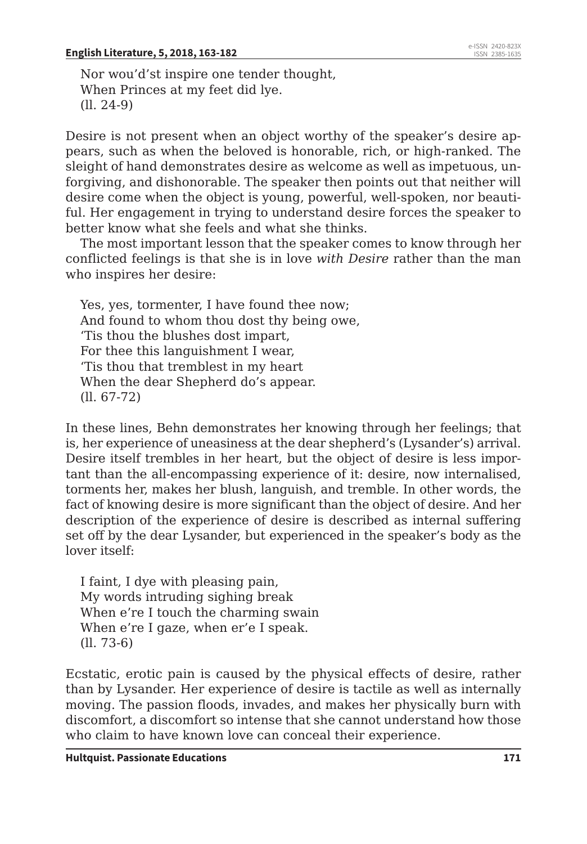Nor wou'd'st inspire one tender thought, When Princes at my feet did lye. (ll. 24-9)

Desire is not present when an object worthy of the speaker's desire appears, such as when the beloved is honorable, rich, or high-ranked. The sleight of hand demonstrates desire as welcome as well as impetuous, unforgiving, and dishonorable. The speaker then points out that neither will desire come when the object is young, powerful, well-spoken, nor beautiful. Her engagement in trying to understand desire forces the speaker to better know what she feels and what she thinks.

The most important lesson that the speaker comes to know through her conflicted feelings is that she is in love *with Desire* rather than the man who inspires her desire:

Yes, yes, tormenter, I have found thee now; And found to whom thou dost thy being owe, 'Tis thou the blushes dost impart, For thee this languishment I wear, 'Tis thou that tremblest in my heart When the dear Shepherd do's appear. (ll. 67-72)

In these lines, Behn demonstrates her knowing through her feelings; that is, her experience of uneasiness at the dear shepherd's (Lysander's) arrival. Desire itself trembles in her heart, but the object of desire is less important than the all-encompassing experience of it: desire, now internalised, torments her, makes her blush, languish, and tremble. In other words, the fact of knowing desire is more significant than the object of desire. And her description of the experience of desire is described as internal suffering set off by the dear Lysander, but experienced in the speaker's body as the lover itself:

I faint, I dye with pleasing pain, My words intruding sighing break When e're I touch the charming swain When e're I gaze, when er'e I speak. (ll. 73-6)

Ecstatic, erotic pain is caused by the physical effects of desire, rather than by Lysander. Her experience of desire is tactile as well as internally moving. The passion floods, invades, and makes her physically burn with discomfort, a discomfort so intense that she cannot understand how those who claim to have known love can conceal their experience.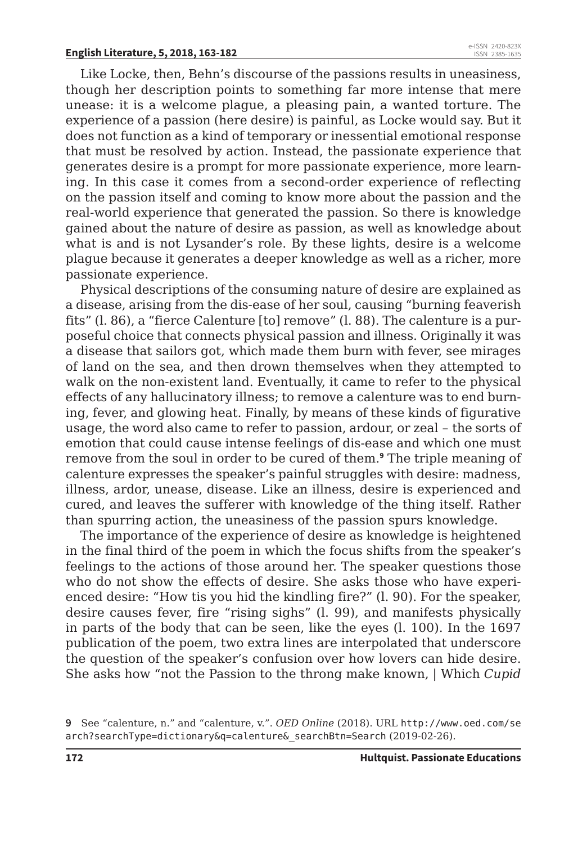Like Locke, then, Behn's discourse of the passions results in uneasiness, though her description points to something far more intense that mere unease: it is a welcome plague, a pleasing pain, a wanted torture. The experience of a passion (here desire) is painful, as Locke would say. But it does not function as a kind of temporary or inessential emotional response that must be resolved by action. Instead, the passionate experience that generates desire is a prompt for more passionate experience, more learning. In this case it comes from a second-order experience of reflecting on the passion itself and coming to know more about the passion and the real-world experience that generated the passion. So there is knowledge gained about the nature of desire as passion, as well as knowledge about what is and is not Lysander's role. By these lights, desire is a welcome plague because it generates a deeper knowledge as well as a richer, more passionate experience.

Physical descriptions of the consuming nature of desire are explained as a disease, arising from the dis-ease of her soul, causing "burning feaverish fits" (l. 86), a "fierce Calenture [to] remove" (l. 88). The calenture is a purposeful choice that connects physical passion and illness. Originally it was a disease that sailors got, which made them burn with fever, see mirages of land on the sea, and then drown themselves when they attempted to walk on the non-existent land. Eventually, it came to refer to the physical effects of any hallucinatory illness; to remove a calenture was to end burning, fever, and glowing heat. Finally, by means of these kinds of figurative usage, the word also came to refer to passion, ardour, or zeal – the sorts of emotion that could cause intense feelings of dis-ease and which one must remove from the soul in order to be cured of them.**<sup>9</sup>** The triple meaning of calenture expresses the speaker's painful struggles with desire: madness, illness, ardor, unease, disease. Like an illness, desire is experienced and cured, and leaves the sufferer with knowledge of the thing itself. Rather than spurring action, the uneasiness of the passion spurs knowledge.

The importance of the experience of desire as knowledge is heightened in the final third of the poem in which the focus shifts from the speaker's feelings to the actions of those around her. The speaker questions those who do not show the effects of desire. She asks those who have experienced desire: "How tis you hid the kindling fire?" (l. 90). For the speaker, desire causes fever, fire "rising sighs" (l. 99), and manifests physically in parts of the body that can be seen, like the eyes (l. 100). In the 1697 publication of the poem, two extra lines are interpolated that underscore the question of the speaker's confusion over how lovers can hide desire. She asks how "not the Passion to the throng make known, | Which *Cupid*

**<sup>9</sup>** See "calenture, n." and "calenture, v.". *OED Online* (2018). URL http://www.oed.com/se arch?searchType=dictionary&q=calenture&\_searchBtn=Search (2019-02-26).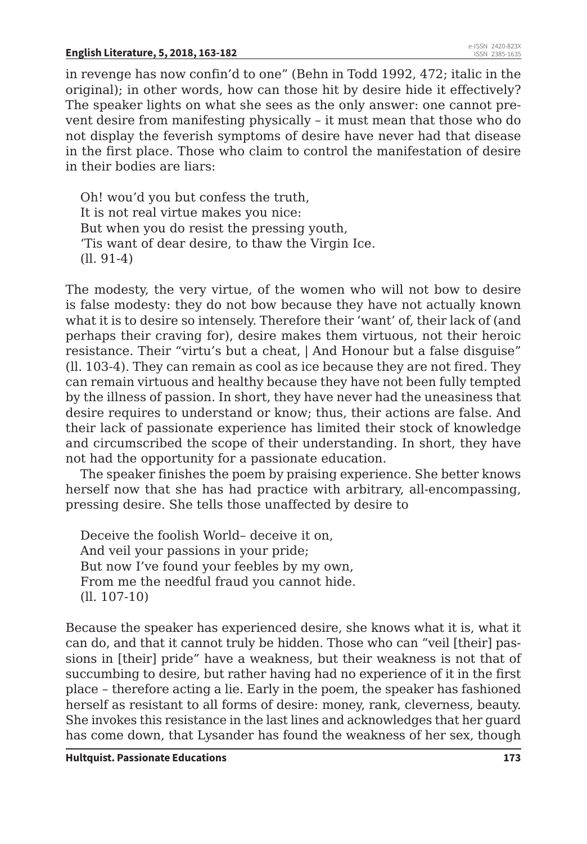in revenge has now confin'd to one" (Behn in Todd 1992, 472; italic in the original); in other words, how can those hit by desire hide it effectively? The speaker lights on what she sees as the only answer: one cannot prevent desire from manifesting physically – it must mean that those who do not display the feverish symptoms of desire have never had that disease in the first place. Those who claim to control the manifestation of desire in their bodies are liars:

Oh! wou'd you but confess the truth, It is not real virtue makes you nice: But when you do resist the pressing youth, 'Tis want of dear desire, to thaw the Virgin Ice. (ll. 91-4)

The modesty, the very virtue, of the women who will not bow to desire is false modesty: they do not bow because they have not actually known what it is to desire so intensely. Therefore their 'want' of, their lack of (and perhaps their craving for), desire makes them virtuous, not their heroic resistance. Their "virtu's but a cheat, | And Honour but a false disguise" (ll. 103-4). They can remain as cool as ice because they are not fired. They can remain virtuous and healthy because they have not been fully tempted by the illness of passion. In short, they have never had the uneasiness that desire requires to understand or know; thus, their actions are false. And their lack of passionate experience has limited their stock of knowledge and circumscribed the scope of their understanding. In short, they have not had the opportunity for a passionate education.

The speaker finishes the poem by praising experience. She better knows herself now that she has had practice with arbitrary, all-encompassing, pressing desire. She tells those unaffected by desire to

Deceive the foolish World– deceive it on, And veil your passions in your pride; But now I've found your feebles by my own, From me the needful fraud you cannot hide. (ll. 107-10)

Because the speaker has experienced desire, she knows what it is, what it can do, and that it cannot truly be hidden. Those who can "veil [their] passions in [their] pride" have a weakness, but their weakness is not that of succumbing to desire, but rather having had no experience of it in the first place – therefore acting a lie. Early in the poem, the speaker has fashioned herself as resistant to all forms of desire: money, rank, cleverness, beauty. She invokes this resistance in the last lines and acknowledges that her guard has come down, that Lysander has found the weakness of her sex, though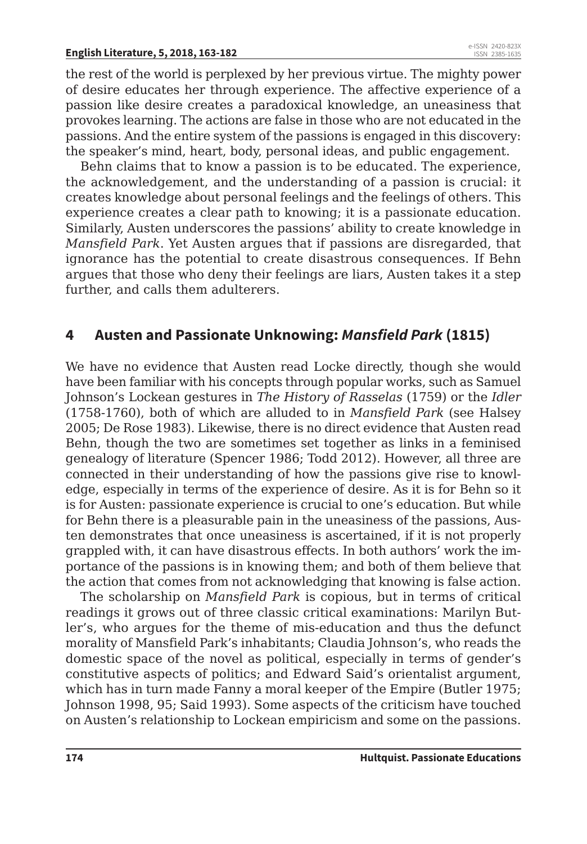the rest of the world is perplexed by her previous virtue. The mighty power of desire educates her through experience. The affective experience of a passion like desire creates a paradoxical knowledge, an uneasiness that provokes learning. The actions are false in those who are not educated in the passions. And the entire system of the passions is engaged in this discovery: the speaker's mind, heart, body, personal ideas, and public engagement.

Behn claims that to know a passion is to be educated. The experience, the acknowledgement, and the understanding of a passion is crucial: it creates knowledge about personal feelings and the feelings of others. This experience creates a clear path to knowing; it is a passionate education. Similarly, Austen underscores the passions' ability to create knowledge in *Mansfield Park*. Yet Austen argues that if passions are disregarded, that ignorance has the potential to create disastrous consequences. If Behn argues that those who deny their feelings are liars, Austen takes it a step further, and calls them adulterers.

#### **4 Austen and Passionate Unknowing:** *Mansfield Park* **(1815)**

We have no evidence that Austen read Locke directly, though she would have been familiar with his concepts through popular works, such as Samuel Johnson's Lockean gestures in *The History of Rasselas* (1759) or the *Idler*  (1758-1760), both of which are alluded to in *Mansfield Park* (see Halsey 2005; De Rose 1983). Likewise, there is no direct evidence that Austen read Behn, though the two are sometimes set together as links in a feminised genealogy of literature (Spencer 1986; Todd 2012). However, all three are connected in their understanding of how the passions give rise to knowledge, especially in terms of the experience of desire. As it is for Behn so it is for Austen: passionate experience is crucial to one's education. But while for Behn there is a pleasurable pain in the uneasiness of the passions, Austen demonstrates that once uneasiness is ascertained, if it is not properly grappled with, it can have disastrous effects. In both authors' work the importance of the passions is in knowing them; and both of them believe that the action that comes from not acknowledging that knowing is false action.

The scholarship on *Mansfield Park* is copious, but in terms of critical readings it grows out of three classic critical examinations: Marilyn Butler's, who argues for the theme of mis-education and thus the defunct morality of Mansfield Park's inhabitants; Claudia Johnson's, who reads the domestic space of the novel as political, especially in terms of gender's constitutive aspects of politics; and Edward Said's orientalist argument, which has in turn made Fanny a moral keeper of the Empire (Butler 1975; Johnson 1998, 95; Said 1993). Some aspects of the criticism have touched on Austen's relationship to Lockean empiricism and some on the passions.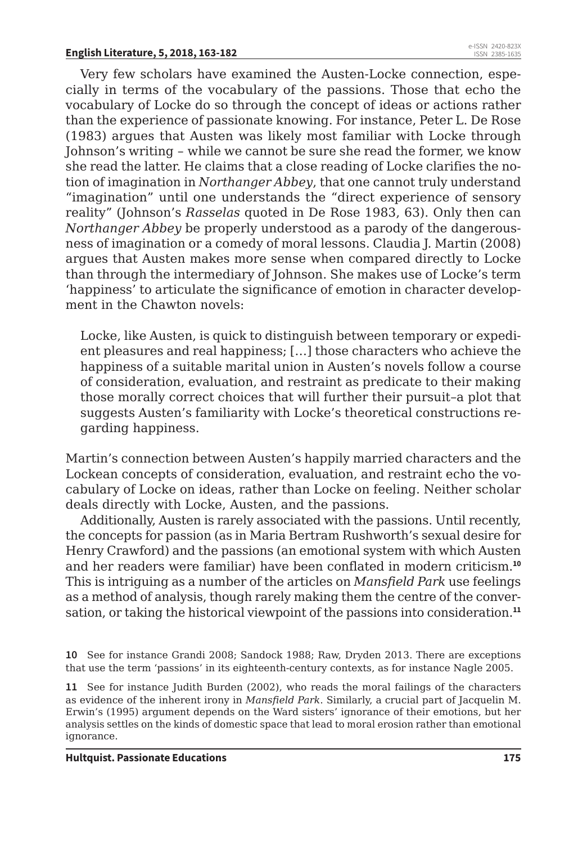Very few scholars have examined the Austen-Locke connection, especially in terms of the vocabulary of the passions. Those that echo the vocabulary of Locke do so through the concept of ideas or actions rather than the experience of passionate knowing. For instance, Peter L. De Rose (1983) argues that Austen was likely most familiar with Locke through Johnson's writing – while we cannot be sure she read the former, we know she read the latter. He claims that a close reading of Locke clarifies the notion of imagination in *Northanger Abbey*, that one cannot truly understand "imagination" until one understands the "direct experience of sensory reality" (Johnson's *Rasselas* quoted in De Rose 1983, 63). Only then can *Northanger Abbey* be properly understood as a parody of the dangerousness of imagination or a comedy of moral lessons. Claudia J. Martin (2008) argues that Austen makes more sense when compared directly to Locke than through the intermediary of Johnson. She makes use of Locke's term 'happiness' to articulate the significance of emotion in character development in the Chawton novels:

Locke, like Austen, is quick to distinguish between temporary or expedient pleasures and real happiness; […] those characters who achieve the happiness of a suitable marital union in Austen's novels follow a course of consideration, evaluation, and restraint as predicate to their making those morally correct choices that will further their pursuit–a plot that suggests Austen's familiarity with Locke's theoretical constructions regarding happiness.

Martin's connection between Austen's happily married characters and the Lockean concepts of consideration, evaluation, and restraint echo the vocabulary of Locke on ideas, rather than Locke on feeling. Neither scholar deals directly with Locke, Austen, and the passions.

Additionally, Austen is rarely associated with the passions. Until recently, the concepts for passion (as in Maria Bertram Rushworth's sexual desire for Henry Crawford) and the passions (an emotional system with which Austen and her readers were familiar) have been conflated in modern criticism.**<sup>10</sup>** This is intriguing as a number of the articles on *Mansfield Park* use feelings as a method of analysis, though rarely making them the centre of the conversation, or taking the historical viewpoint of the passions into consideration.**<sup>11</sup>**

**10** See for instance Grandi 2008; Sandock 1988; Raw, Dryden 2013. There are exceptions that use the term 'passions' in its eighteenth-century contexts, as for instance Nagle 2005.

**11** See for instance Judith Burden (2002), who reads the moral failings of the characters as evidence of the inherent irony in *Mansfield Park*. Similarly, a crucial part of Jacquelin M. Erwin's (1995) argument depends on the Ward sisters' ignorance of their emotions, but her analysis settles on the kinds of domestic space that lead to moral erosion rather than emotional ignorance.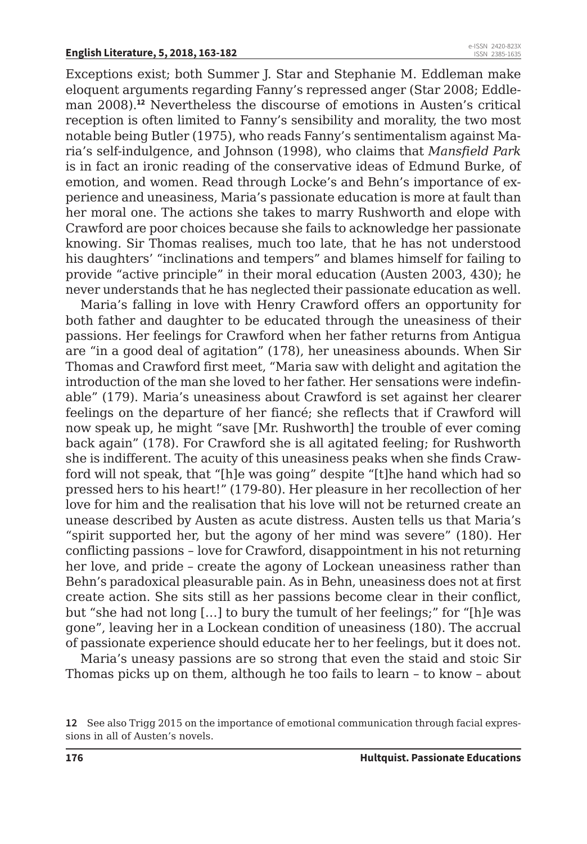Exceptions exist; both Summer J. Star and Stephanie M. Eddleman make eloquent arguments regarding Fanny's repressed anger (Star 2008; Eddleman 2008).**<sup>12</sup>** Nevertheless the discourse of emotions in Austen's critical reception is often limited to Fanny's sensibility and morality, the two most notable being Butler (1975), who reads Fanny's sentimentalism against Maria's self-indulgence, and Johnson (1998), who claims that *Mansfield Park* is in fact an ironic reading of the conservative ideas of Edmund Burke, of emotion, and women. Read through Locke's and Behn's importance of experience and uneasiness, Maria's passionate education is more at fault than her moral one. The actions she takes to marry Rushworth and elope with Crawford are poor choices because she fails to acknowledge her passionate knowing. Sir Thomas realises, much too late, that he has not understood his daughters' "inclinations and tempers" and blames himself for failing to provide "active principle" in their moral education (Austen 2003, 430); he never understands that he has neglected their passionate education as well.

Maria's falling in love with Henry Crawford offers an opportunity for both father and daughter to be educated through the uneasiness of their passions. Her feelings for Crawford when her father returns from Antigua are "in a good deal of agitation" (178), her uneasiness abounds. When Sir Thomas and Crawford first meet, "Maria saw with delight and agitation the introduction of the man she loved to her father. Her sensations were indefinable" (179). Maria's uneasiness about Crawford is set against her clearer feelings on the departure of her fiancé; she reflects that if Crawford will now speak up, he might "save [Mr. Rushworth] the trouble of ever coming back again" (178). For Crawford she is all agitated feeling; for Rushworth she is indifferent. The acuity of this uneasiness peaks when she finds Crawford will not speak, that "[h]e was going" despite "[t]he hand which had so pressed hers to his heart!" (179-80). Her pleasure in her recollection of her love for him and the realisation that his love will not be returned create an unease described by Austen as acute distress. Austen tells us that Maria's "spirit supported her, but the agony of her mind was severe" (180). Her conflicting passions – love for Crawford, disappointment in his not returning her love, and pride – create the agony of Lockean uneasiness rather than Behn's paradoxical pleasurable pain. As in Behn, uneasiness does not at first create action. She sits still as her passions become clear in their conflict, but "she had not long […] to bury the tumult of her feelings;" for "[h]e was gone", leaving her in a Lockean condition of uneasiness (180). The accrual of passionate experience should educate her to her feelings, but it does not.

Maria's uneasy passions are so strong that even the staid and stoic Sir Thomas picks up on them, although he too fails to learn – to know – about

**<sup>12</sup>** See also Trigg 2015 on the importance of emotional communication through facial expressions in all of Austen's novels.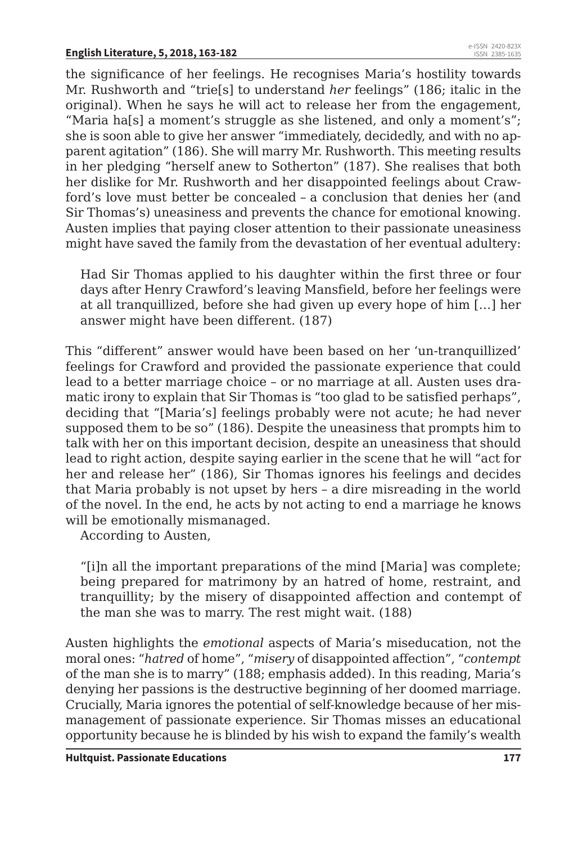the significance of her feelings. He recognises Maria's hostility towards Mr. Rushworth and "trie[s] to understand *her* feelings" (186; italic in the original). When he says he will act to release her from the engagement, "Maria ha[s] a moment's struggle as she listened, and only a moment's"; she is soon able to give her answer "immediately, decidedly, and with no apparent agitation" (186). She will marry Mr. Rushworth. This meeting results in her pledging "herself anew to Sotherton" (187). She realises that both her dislike for Mr. Rushworth and her disappointed feelings about Crawford's love must better be concealed – a conclusion that denies her (and Sir Thomas's) uneasiness and prevents the chance for emotional knowing. Austen implies that paying closer attention to their passionate uneasiness might have saved the family from the devastation of her eventual adultery:

Had Sir Thomas applied to his daughter within the first three or four days after Henry Crawford's leaving Mansfield, before her feelings were at all tranquillized, before she had given up every hope of him […] her answer might have been different. (187)

This "different" answer would have been based on her 'un-tranquillized' feelings for Crawford and provided the passionate experience that could lead to a better marriage choice – or no marriage at all. Austen uses dramatic irony to explain that Sir Thomas is "too glad to be satisfied perhaps", deciding that "[Maria's] feelings probably were not acute; he had never supposed them to be so" (186). Despite the uneasiness that prompts him to talk with her on this important decision, despite an uneasiness that should lead to right action, despite saying earlier in the scene that he will "act for her and release her" (186), Sir Thomas ignores his feelings and decides that Maria probably is not upset by hers – a dire misreading in the world of the novel. In the end, he acts by not acting to end a marriage he knows will be emotionally mismanaged.

According to Austen,

"[i]n all the important preparations of the mind [Maria] was complete; being prepared for matrimony by an hatred of home, restraint, and tranquillity; by the misery of disappointed affection and contempt of the man she was to marry. The rest might wait. (188)

Austen highlights the *emotional* aspects of Maria's miseducation, not the moral ones: "*hatred* of home", "*misery* of disappointed affection", "*contempt* of the man she is to marry" (188; emphasis added). In this reading, Maria's denying her passions is the destructive beginning of her doomed marriage. Crucially, Maria ignores the potential of self-knowledge because of her mismanagement of passionate experience. Sir Thomas misses an educational opportunity because he is blinded by his wish to expand the family's wealth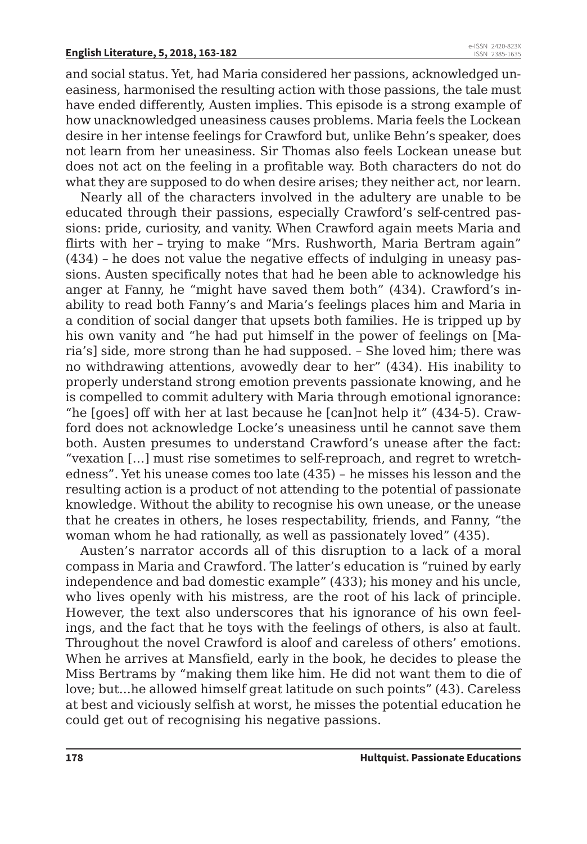and social status. Yet, had Maria considered her passions, acknowledged uneasiness, harmonised the resulting action with those passions, the tale must have ended differently, Austen implies. This episode is a strong example of how unacknowledged uneasiness causes problems. Maria feels the Lockean desire in her intense feelings for Crawford but, unlike Behn's speaker, does not learn from her uneasiness. Sir Thomas also feels Lockean unease but does not act on the feeling in a profitable way. Both characters do not do what they are supposed to do when desire arises; they neither act, nor learn.

Nearly all of the characters involved in the adultery are unable to be educated through their passions, especially Crawford's self-centred passions: pride, curiosity, and vanity. When Crawford again meets Maria and flirts with her – trying to make "Mrs. Rushworth, Maria Bertram again" (434) – he does not value the negative effects of indulging in uneasy passions. Austen specifically notes that had he been able to acknowledge his anger at Fanny, he "might have saved them both" (434). Crawford's inability to read both Fanny's and Maria's feelings places him and Maria in a condition of social danger that upsets both families. He is tripped up by his own vanity and "he had put himself in the power of feelings on [Maria's] side, more strong than he had supposed. – She loved him; there was no withdrawing attentions, avowedly dear to her" (434). His inability to properly understand strong emotion prevents passionate knowing, and he is compelled to commit adultery with Maria through emotional ignorance: "he [goes] off with her at last because he [can]not help it" (434-5). Crawford does not acknowledge Locke's uneasiness until he cannot save them both. Austen presumes to understand Crawford's unease after the fact: "vexation […] must rise sometimes to self-reproach, and regret to wretchedness". Yet his unease comes too late (435) – he misses his lesson and the resulting action is a product of not attending to the potential of passionate knowledge. Without the ability to recognise his own unease, or the unease that he creates in others, he loses respectability, friends, and Fanny, "the woman whom he had rationally, as well as passionately loved" (435).

Austen's narrator accords all of this disruption to a lack of a moral compass in Maria and Crawford. The latter's education is "ruined by early independence and bad domestic example" (433); his money and his uncle, who lives openly with his mistress, are the root of his lack of principle. However, the text also underscores that his ignorance of his own feelings, and the fact that he toys with the feelings of others, is also at fault. Throughout the novel Crawford is aloof and careless of others' emotions. When he arrives at Mansfield, early in the book, he decides to please the Miss Bertrams by "making them like him. He did not want them to die of love; but...he allowed himself great latitude on such points" (43). Careless at best and viciously selfish at worst, he misses the potential education he could get out of recognising his negative passions.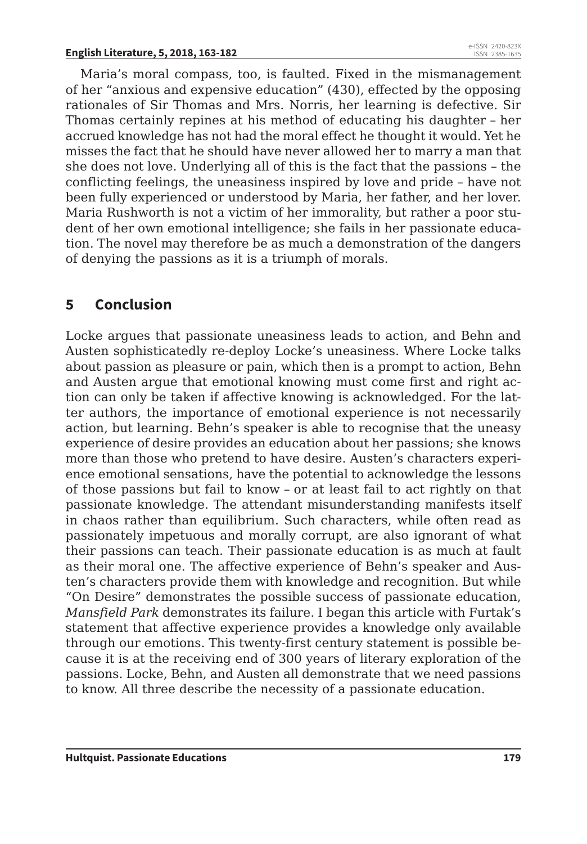Maria's moral compass, too, is faulted. Fixed in the mismanagement of her "anxious and expensive education" (430), effected by the opposing rationales of Sir Thomas and Mrs. Norris, her learning is defective. Sir Thomas certainly repines at his method of educating his daughter – her accrued knowledge has not had the moral effect he thought it would. Yet he misses the fact that he should have never allowed her to marry a man that she does not love. Underlying all of this is the fact that the passions – the conflicting feelings, the uneasiness inspired by love and pride – have not been fully experienced or understood by Maria, her father, and her lover. Maria Rushworth is not a victim of her immorality, but rather a poor student of her own emotional intelligence; she fails in her passionate education. The novel may therefore be as much a demonstration of the dangers of denying the passions as it is a triumph of morals.

### **5 Conclusion**

Locke argues that passionate uneasiness leads to action, and Behn and Austen sophisticatedly re-deploy Locke's uneasiness. Where Locke talks about passion as pleasure or pain, which then is a prompt to action, Behn and Austen argue that emotional knowing must come first and right action can only be taken if affective knowing is acknowledged. For the latter authors, the importance of emotional experience is not necessarily action, but learning. Behn's speaker is able to recognise that the uneasy experience of desire provides an education about her passions; she knows more than those who pretend to have desire. Austen's characters experience emotional sensations, have the potential to acknowledge the lessons of those passions but fail to know – or at least fail to act rightly on that passionate knowledge. The attendant misunderstanding manifests itself in chaos rather than equilibrium. Such characters, while often read as passionately impetuous and morally corrupt, are also ignorant of what their passions can teach. Their passionate education is as much at fault as their moral one. The affective experience of Behn's speaker and Austen's characters provide them with knowledge and recognition. But while "On Desire" demonstrates the possible success of passionate education, *Mansfield Park* demonstrates its failure. I began this article with Furtak's statement that affective experience provides a knowledge only available through our emotions. This twenty-first century statement is possible because it is at the receiving end of 300 years of literary exploration of the passions. Locke, Behn, and Austen all demonstrate that we need passions to know. All three describe the necessity of a passionate education.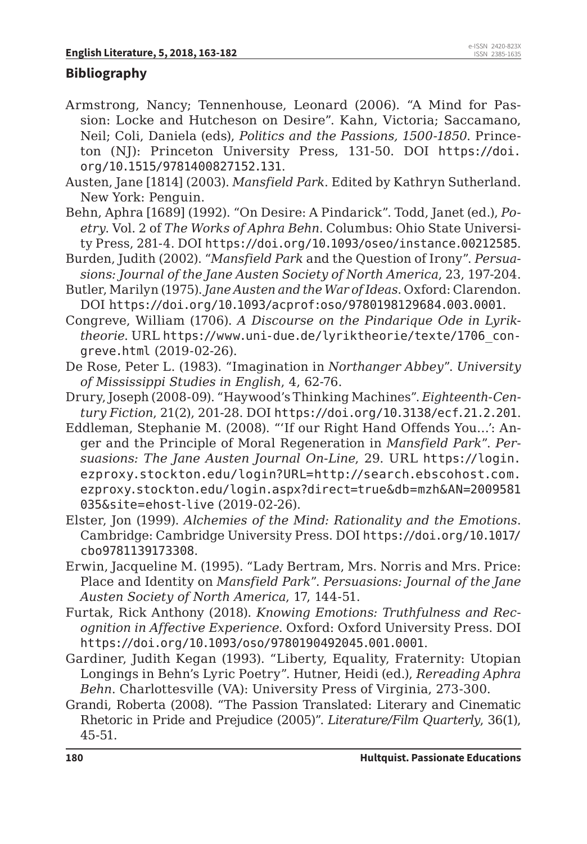#### **Bibliography**

- Armstrong, Nancy; Tennenhouse, Leonard (2006). "A Mind for Passion: Locke and Hutcheson on Desire". Kahn, Victoria; Saccamano, Neil; Coli, Daniela (eds), *Politics and the Passions, 1500-1850*. Princeton (NJ): Princeton University Press, 131-50. DOI https://doi. org/10.1515/9781400827152.131.
- Austen, Jane [1814] (2003). *Mansfield Park*. Edited by Kathryn Sutherland. New York: Penguin.
- Behn, Aphra [1689] (1992). "On Desire: A Pindarick". Todd, Janet (ed.), *Poetry*. Vol. 2 of *The Works of Aphra Behn*. Columbus: Ohio State University Press, 281-4. DOI https://doi.org/10.1093/oseo/instance.00212585.
- Burden, Judith (2002). "*Mansfield Park* and the Question of Irony". *Persuasions: Journal of the Jane Austen Society of North America*, 23, 197-204.
- Butler, Marilyn (1975). *Jane Austen and the War of Ideas*. Oxford: Clarendon. DOI https://doi.org/10.1093/acprof:oso/9780198129684.003.0001.
- Congreve, William (1706). *A Discourse on the Pindarique Ode in Lyriktheorie*. URL https://www.uni-due.de/lyriktheorie/texte/1706\_congreve.html (2019-02-26).
- De Rose, Peter L. (1983). "Imagination in *Northanger Abbey*". *University of Mississippi Studies in English*, 4, 62-76.
- Drury, Joseph (2008-09). "Haywood's Thinking Machines". *Eighteenth-Century Fiction*, 21(2), 201-28. DOI https://doi.org/10.3138/ecf.21.2.201.
- Eddleman, Stephanie M. (2008). "'If our Right Hand Offends You…': Anger and the Principle of Moral Regeneration in *Mansfield Park*". *Persuasions: The Jane Austen Journal On-Line*, 29. URL https://login. ezproxy.stockton.edu/login?URL=http://search.ebscohost.com. ezproxy.stockton.edu/login.aspx?direct=true&db=mzh&AN=2009581 035&site=ehost-live (2019-02-26).
- Elster, Jon (1999). *Alchemies of the Mind: Rationality and the Emotions*. Cambridge: Cambridge University Press. DOI https://doi.org/10.1017/ cbo9781139173308.
- Erwin, Jacqueline M. (1995). "Lady Bertram, Mrs. Norris and Mrs. Price: Place and Identity on *Mansfield Park*". *Persuasions: Journal of the Jane Austen Society of North America*, 17, 144-51.
- Furtak, Rick Anthony (2018). *Knowing Emotions: Truthfulness and Recognition in Affective Experience*. Oxford: Oxford University Press. DOI https://doi.org/10.1093/oso/9780190492045.001.0001.
- Gardiner, Judith Kegan (1993). "Liberty, Equality, Fraternity: Utopian Longings in Behn's Lyric Poetry". Hutner, Heidi (ed.), *Rereading Aphra Behn*. Charlottesville (VA): University Press of Virginia, 273-300.
- Grandi, Roberta (2008). "The Passion Translated: Literary and Cinematic Rhetoric in Pride and Prejudice (2005)". *Literature/Film Quarterly*, 36(1), 45-51.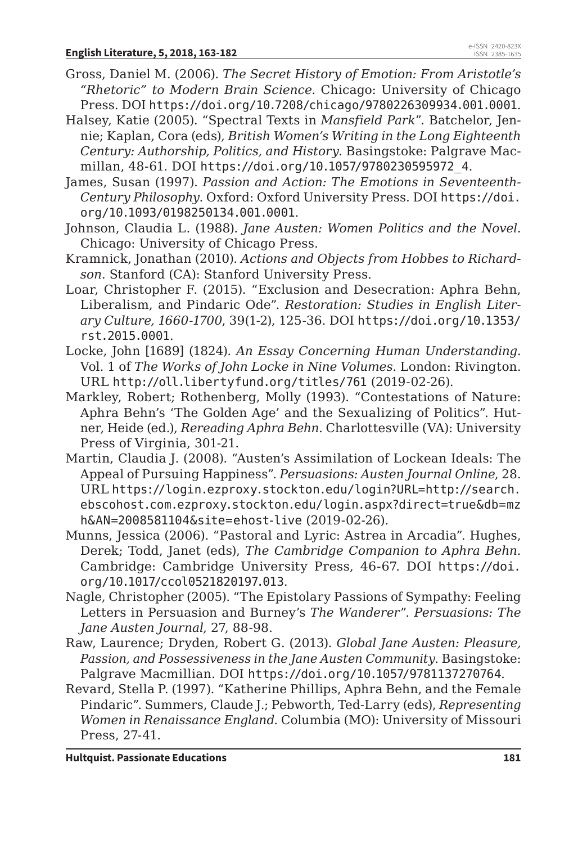- Gross, Daniel M. (2006). *The Secret History of Emotion: From Aristotle's "Rhetoric" to Modern Brain Science.* Chicago: University of Chicago Press. DOI https://doi.org/10.7208/chicago/9780226309934.001.0001.
- Halsey, Katie (2005). "Spectral Texts in *Mansfield Park*". Batchelor, Jennie; Kaplan, Cora (eds), *British Women's Writing in the Long Eighteenth Century: Authorship, Politics, and History*. Basingstoke: Palgrave Macmillan, 48-61. DOI https://doi.org/10.1057/9780230595972\_4.
- James, Susan (1997). *Passion and Action: The Emotions in Seventeenth-Century Philosophy*. Oxford: Oxford University Press. DOI https://doi. org/10.1093/0198250134.001.0001.
- Johnson, Claudia L. (1988). *Jane Austen: Women Politics and the Novel*. Chicago: University of Chicago Press.
- Kramnick, Jonathan (2010). *Actions and Objects from Hobbes to Richardson*. Stanford (CA): Stanford University Press.
- Loar, Christopher F. (2015). "Exclusion and Desecration: Aphra Behn, Liberalism, and Pindaric Ode". *Restoration: Studies in English Literary Culture, 1660-1700*, 39(1-2), 125-36. DOI https://doi.org/10.1353/ rst.2015.0001.
- Locke, John [1689] (1824). *An Essay Concerning Human Understanding*. Vol. 1 of *The Works of John Locke in Nine Volumes*. London: Rivington. URL http://oll.libertyfund.org/titles/761 (2019-02-26).
- Markley, Robert; Rothenberg, Molly (1993). "Contestations of Nature: Aphra Behn's 'The Golden Age' and the Sexualizing of Politics". Hutner, Heide (ed.), *Rereading Aphra Behn*. Charlottesville (VA): University Press of Virginia, 301-21.
- Martin, Claudia J. (2008). "Austen's Assimilation of Lockean Ideals: The Appeal of Pursuing Happiness". *Persuasions: Austen Journal Online*, 28. URL https://login.ezproxy.stockton.edu/login?URL=http://search. ebscohost.com.ezproxy.stockton.edu/login.aspx?direct=true&db=mz h&AN=2008581104&site=ehost-live (2019-02-26).
- Munns, Jessica (2006). "Pastoral and Lyric: Astrea in Arcadia". Hughes, Derek; Todd, Janet (eds), *The Cambridge Companion to Aphra Behn*. Cambridge: Cambridge University Press, 46-67. DOI https://doi. org/10.1017/ccol0521820197.013.
- Nagle, Christopher (2005). "The Epistolary Passions of Sympathy: Feeling Letters in Persuasion and Burney's *The Wanderer*". *Persuasions: The Jane Austen Journal*, 27, 88-98.
- Raw, Laurence; Dryden, Robert G. (2013). *Global Jane Austen: Pleasure, Passion, and Possessiveness in the Jane Austen Community*. Basingstoke: Palgrave Macmillian. DOI https://doi.org/10.1057/9781137270764.
- Revard, Stella P. (1997). "Katherine Phillips, Aphra Behn, and the Female Pindaric". Summers, Claude J.; Pebworth, Ted-Larry (eds), *Representing Women in Renaissance England*. Columbia (MO): University of Missouri Press, 27-41.